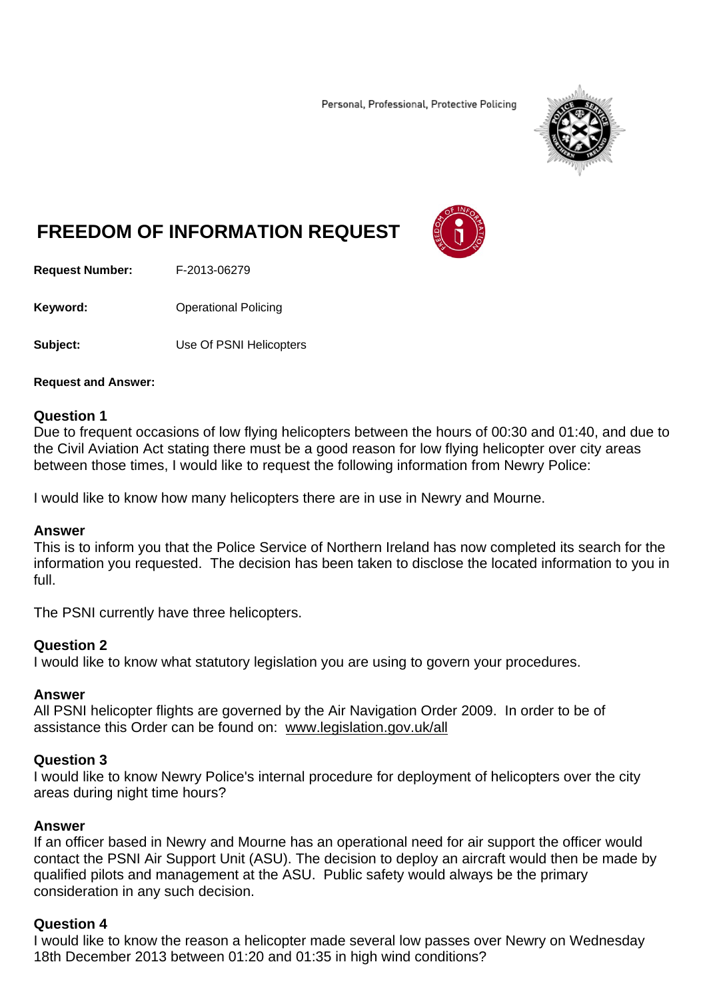Personal, Professional, Protective Policing



# **FREEDOM OF INFORMATION REQUEST**



**Request Number:** F-2013-06279

**Keyword: C**Derational Policing

**Subject:** Use Of PSNI Helicopters

#### **Request and Answer:**

#### **Question 1**

Due to frequent occasions of low flying helicopters between the hours of 00:30 and 01:40, and due to the Civil Aviation Act stating there must be a good reason for low flying helicopter over city areas between those times, I would like to request the following information from Newry Police:

I would like to know how many helicopters there are in use in Newry and Mourne.

#### **Answer**

This is to inform you that the Police Service of Northern Ireland has now completed its search for the information you requested. The decision has been taken to disclose the located information to you in full.

The PSNI currently have three helicopters.

## **Question 2**

I would like to know what statutory legislation you are using to govern your procedures.

## **Answer**

All PSNI helicopter flights are governed by the Air Navigation Order 2009. In order to be of assistance this Order can be found on: www.legislation.gov.uk/all

## **Question 3**

I would like to know Newry Police's internal procedure for deployment of helicopters over the city areas during night time hours?

## **Answer**

If an officer based in Newry and Mourne has an operational need for air support the officer would contact the PSNI Air Support Unit (ASU). The decision to deploy an aircraft would then be made by qualified pilots and management at the ASU. Public safety would always be the primary consideration in any such decision.

#### **Question 4**

I would like to know the reason a helicopter made several low passes over Newry on Wednesday 18th December 2013 between 01:20 and 01:35 in high wind conditions?